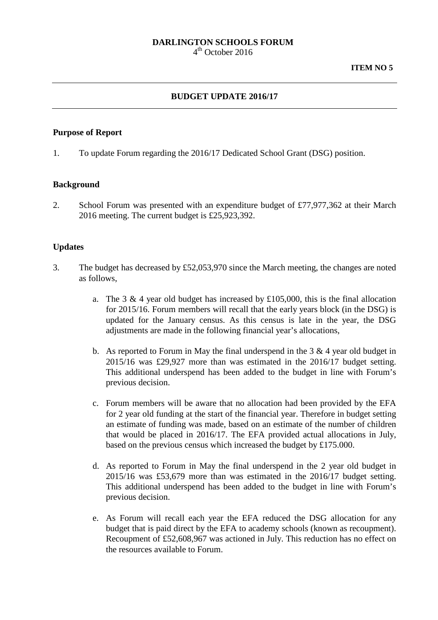# **DARLINGTON SCHOOLS FORUM**

 $4<sup>th</sup>$  October 2016

## **BUDGET UPDATE 2016/17**

#### **Purpose of Report**

1. To update Forum regarding the 2016/17 Dedicated School Grant (DSG) position.

#### **Background**

2. School Forum was presented with an expenditure budget of £77,977,362 at their March 2016 meeting. The current budget is £25,923,392.

### **Updates**

- 3. The budget has decreased by £52,053,970 since the March meeting, the changes are noted as follows,
	- a. The 3  $\&$  4 year old budget has increased by £105,000, this is the final allocation for 2015/16. Forum members will recall that the early years block (in the DSG) is updated for the January census. As this census is late in the year, the DSG adjustments are made in the following financial year's allocations,
	- b. As reported to Forum in May the final underspend in the  $3 \& 4$  year old budget in 2015/16 was £29,927 more than was estimated in the 2016/17 budget setting. This additional underspend has been added to the budget in line with Forum's previous decision.
	- c. Forum members will be aware that no allocation had been provided by the EFA for 2 year old funding at the start of the financial year. Therefore in budget setting an estimate of funding was made, based on an estimate of the number of children that would be placed in 2016/17. The EFA provided actual allocations in July, based on the previous census which increased the budget by £175.000.
	- d. As reported to Forum in May the final underspend in the 2 year old budget in 2015/16 was £53,679 more than was estimated in the 2016/17 budget setting. This additional underspend has been added to the budget in line with Forum's previous decision.
	- e. As Forum will recall each year the EFA reduced the DSG allocation for any budget that is paid direct by the EFA to academy schools (known as recoupment). Recoupment of £52,608,967 was actioned in July. This reduction has no effect on the resources available to Forum.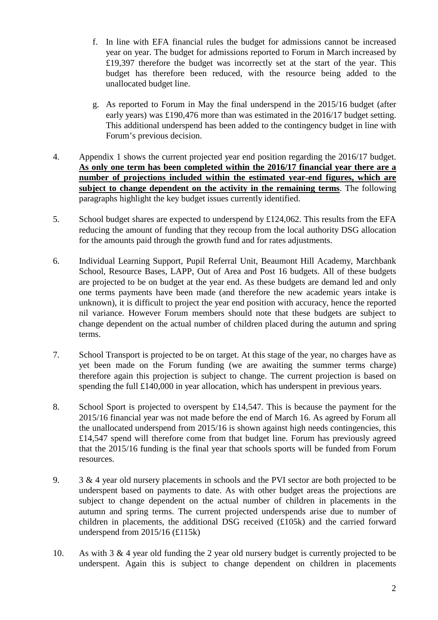- f. In line with EFA financial rules the budget for admissions cannot be increased year on year. The budget for admissions reported to Forum in March increased by £19,397 therefore the budget was incorrectly set at the start of the year. This budget has therefore been reduced, with the resource being added to the unallocated budget line.
- g. As reported to Forum in May the final underspend in the 2015/16 budget (after early years) was £190,476 more than was estimated in the 2016/17 budget setting. This additional underspend has been added to the contingency budget in line with Forum's previous decision.
- 4. Appendix 1 shows the current projected year end position regarding the 2016/17 budget. **As only one term has been completed within the 2016/17 financial year there are a number of projections included within the estimated year-end figures, which are subject to change dependent on the activity in the remaining terms**. The following paragraphs highlight the key budget issues currently identified.
- 5. School budget shares are expected to underspend by £124,062. This results from the EFA reducing the amount of funding that they recoup from the local authority DSG allocation for the amounts paid through the growth fund and for rates adjustments.
- 6. Individual Learning Support, Pupil Referral Unit, Beaumont Hill Academy, Marchbank School, Resource Bases, LAPP, Out of Area and Post 16 budgets. All of these budgets are projected to be on budget at the year end. As these budgets are demand led and only one terms payments have been made (and therefore the new academic years intake is unknown), it is difficult to project the year end position with accuracy, hence the reported nil variance. However Forum members should note that these budgets are subject to change dependent on the actual number of children placed during the autumn and spring terms.
- 7. School Transport is projected to be on target. At this stage of the year, no charges have as yet been made on the Forum funding (we are awaiting the summer terms charge) therefore again this projection is subject to change. The current projection is based on spending the full £140,000 in year allocation, which has underspent in previous years.
- 8. School Sport is projected to overspent by £14,547. This is because the payment for the 2015/16 financial year was not made before the end of March 16. As agreed by Forum all the unallocated underspend from 2015/16 is shown against high needs contingencies, this £14,547 spend will therefore come from that budget line. Forum has previously agreed that the 2015/16 funding is the final year that schools sports will be funded from Forum resources.
- 9. 3 & 4 year old nursery placements in schools and the PVI sector are both projected to be underspent based on payments to date. As with other budget areas the projections are subject to change dependent on the actual number of children in placements in the autumn and spring terms. The current projected underspends arise due to number of children in placements, the additional DSG received (£105k) and the carried forward underspend from 2015/16 (£115k)
- 10. As with 3 & 4 year old funding the 2 year old nursery budget is currently projected to be underspent. Again this is subject to change dependent on children in placements